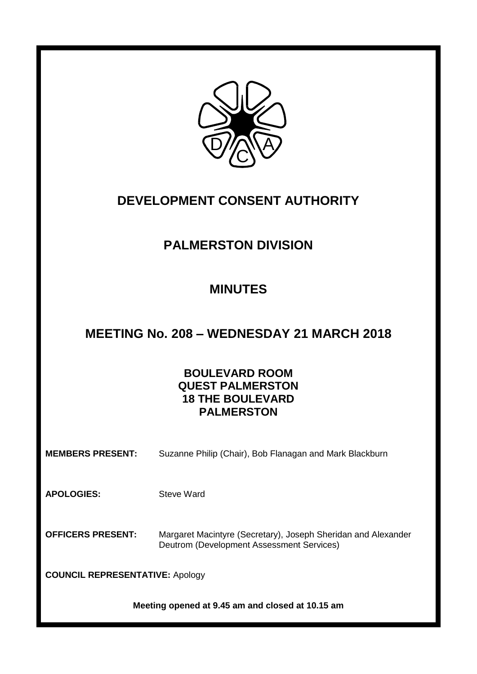

# **DEVELOPMENT CONSENT AUTHORITY**

# **PALMERSTON DIVISION**

# **MINUTES**

# **MEETING No. 208 – WEDNESDAY 21 MARCH 2018**

# **BOULEVARD ROOM QUEST PALMERSTON 18 THE BOULEVARD PALMERSTON**

**MEMBERS PRESENT:** Suzanne Philip (Chair), Bob Flanagan and Mark Blackburn

**APOLOGIES:** Steve Ward

**OFFICERS PRESENT:** Margaret Macintyre (Secretary), Joseph Sheridan and Alexander Deutrom (Development Assessment Services)

**COUNCIL REPRESENTATIVE:** Apology

**Meeting opened at 9.45 am and closed at 10.15 am**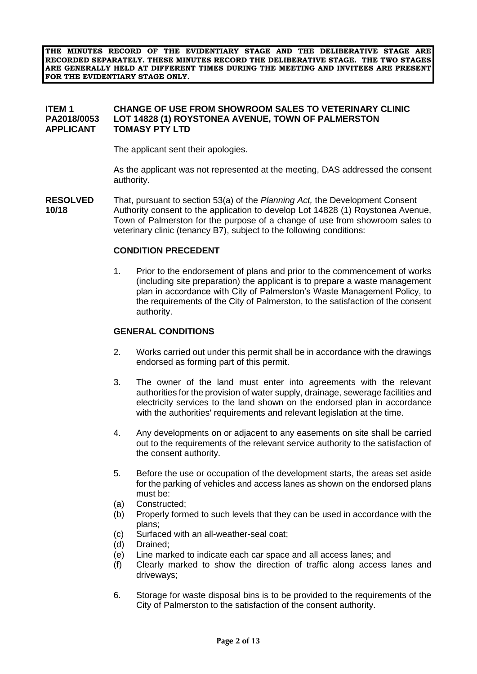**THE MINUTES RECORD OF THE EVIDENTIARY STAGE AND THE DELIBERATIVE STAGE ARE RECORDED SEPARATELY. THESE MINUTES RECORD THE DELIBERATIVE STAGE. THE TWO STAGES ARE GENERALLY HELD AT DIFFERENT TIMES DURING THE MEETING AND INVITEES ARE PRESENT FOR THE EVIDENTIARY STAGE ONLY.**

#### **ITEM 1 CHANGE OF USE FROM SHOWROOM SALES TO VETERINARY CLINIC LOT 14828 (1) ROYSTONEA AVENUE, TOWN OF PALMERSTON APPLICANT TOMASY PTY LTD**

The applicant sent their apologies.

As the applicant was not represented at the meeting, DAS addressed the consent authority.

**RESOLVED** That, pursuant to section 53(a) of the *Planning Act,* the Development Consent **10/18** Authority consent to the application to develop Lot 14828 (1) Roystonea Avenue, Town of Palmerston for the purpose of a change of use from showroom sales to veterinary clinic (tenancy B7), subject to the following conditions:

#### **CONDITION PRECEDENT**

1. Prior to the endorsement of plans and prior to the commencement of works (including site preparation) the applicant is to prepare a waste management plan in accordance with City of Palmerston's Waste Management Policy, to the requirements of the City of Palmerston, to the satisfaction of the consent authority.

#### **GENERAL CONDITIONS**

- 2. Works carried out under this permit shall be in accordance with the drawings endorsed as forming part of this permit.
- 3. The owner of the land must enter into agreements with the relevant authorities for the provision of water supply, drainage, sewerage facilities and electricity services to the land shown on the endorsed plan in accordance with the authorities' requirements and relevant legislation at the time.
- 4. Any developments on or adjacent to any easements on site shall be carried out to the requirements of the relevant service authority to the satisfaction of the consent authority.
- 5. Before the use or occupation of the development starts, the areas set aside for the parking of vehicles and access lanes as shown on the endorsed plans must be:
- (a) Constructed;
- (b) Properly formed to such levels that they can be used in accordance with the plans;
- (c) Surfaced with an all-weather-seal coat;
- (d) Drained;
- (e) Line marked to indicate each car space and all access lanes; and
- (f) Clearly marked to show the direction of traffic along access lanes and driveways;
- 6. Storage for waste disposal bins is to be provided to the requirements of the City of Palmerston to the satisfaction of the consent authority.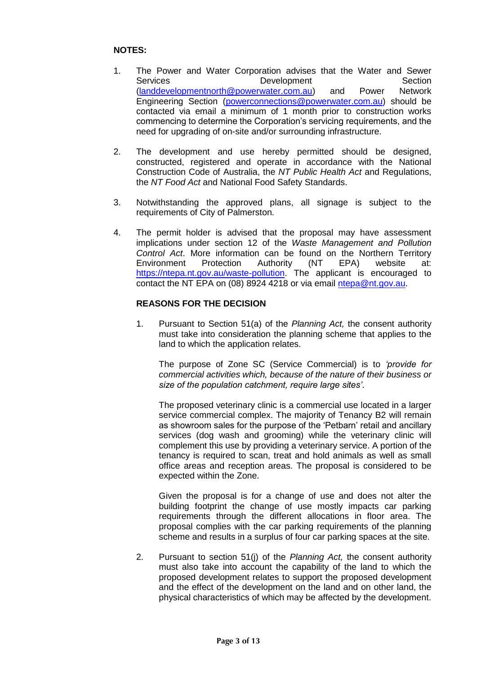# **NOTES:**

- 1. The Power and Water Corporation advises that the Water and Sewer Services **Development** Section [\(landdevelopmentnorth@powerwater.com.au\)](mailto:landdevelopmentnorth@powerwater.com.au) and Power Network Engineering Section [\(powerconnections@powerwater.com.au\)](mailto:powerconnections@powerwater.com.au) should be contacted via email a minimum of 1 month prior to construction works commencing to determine the Corporation's servicing requirements, and the need for upgrading of on-site and/or surrounding infrastructure.
- 2. The development and use hereby permitted should be designed, constructed, registered and operate in accordance with the National Construction Code of Australia, the *NT Public Health Act* and Regulations, the *NT Food Act* and National Food Safety Standards.
- 3. Notwithstanding the approved plans, all signage is subject to the requirements of City of Palmerston.
- 4. The permit holder is advised that the proposal may have assessment implications under section 12 of the *Waste Management and Pollution Control Act*. More information can be found on the Northern Territory Environment Protection Authority (NT EPA) website at: [https://ntepa.nt.gov.au/waste-pollution.](https://ntepa.nt.gov.au/waste-pollution) The applicant is encouraged to contact the NT EPA on (08) 8924 4218 or via email [ntepa@nt.gov.au.](mailto:ntepa@nt.gov.au)

#### **REASONS FOR THE DECISION**

1. Pursuant to Section 51(a) of the *Planning Act,* the consent authority must take into consideration the planning scheme that applies to the land to which the application relates.

The purpose of Zone SC (Service Commercial) is to *'provide for commercial activities which, because of the nature of their business or size of the population catchment, require large sites'*.

The proposed veterinary clinic is a commercial use located in a larger service commercial complex. The majority of Tenancy B2 will remain as showroom sales for the purpose of the 'Petbarn' retail and ancillary services (dog wash and grooming) while the veterinary clinic will complement this use by providing a veterinary service. A portion of the tenancy is required to scan, treat and hold animals as well as small office areas and reception areas. The proposal is considered to be expected within the Zone.

Given the proposal is for a change of use and does not alter the building footprint the change of use mostly impacts car parking requirements through the different allocations in floor area. The proposal complies with the car parking requirements of the planning scheme and results in a surplus of four car parking spaces at the site.

2. Pursuant to section 51(j) of the *Planning Act,* the consent authority must also take into account the capability of the land to which the proposed development relates to support the proposed development and the effect of the development on the land and on other land, the physical characteristics of which may be affected by the development.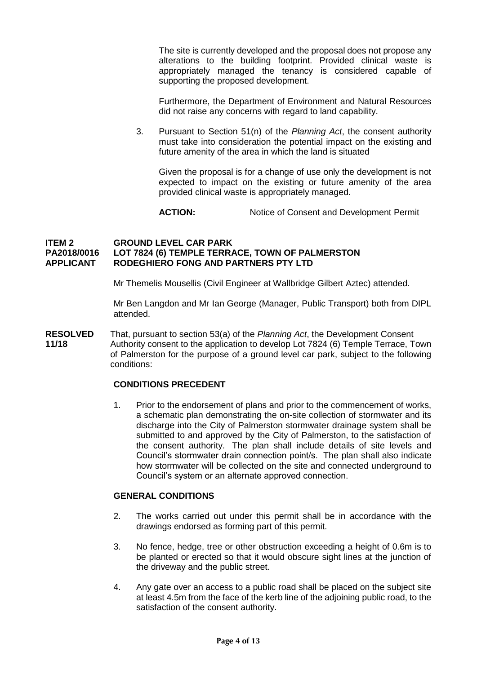The site is currently developed and the proposal does not propose any alterations to the building footprint. Provided clinical waste is appropriately managed the tenancy is considered capable of supporting the proposed development.

Furthermore, the Department of Environment and Natural Resources did not raise any concerns with regard to land capability.

3. Pursuant to Section 51(n) of the *Planning Act*, the consent authority must take into consideration the potential impact on the existing and future amenity of the area in which the land is situated

Given the proposal is for a change of use only the development is not expected to impact on the existing or future amenity of the area provided clinical waste is appropriately managed.

**ACTION:** Notice of Consent and Development Permit

#### **ITEM 2 GROUND LEVEL CAR PARK PA2018/0016 LOT 7824 (6) TEMPLE TERRACE, TOWN OF PALMERSTON APPLICANT RODEGHIERO FONG AND PARTNERS PTY LTD**

Mr Themelis Mousellis (Civil Engineer at Wallbridge Gilbert Aztec) attended.

Mr Ben Langdon and Mr Ian George (Manager, Public Transport) both from DIPL attended.

**RESOLVED** That, pursuant to section 53(a) of the *Planning Act*, the Development Consent **11/18** Authority consent to the application to develop Lot 7824 (6) Temple Terrace, Town of Palmerston for the purpose of a ground level car park, subject to the following conditions:

#### **CONDITIONS PRECEDENT**

1. Prior to the endorsement of plans and prior to the commencement of works, a schematic plan demonstrating the on-site collection of stormwater and its discharge into the City of Palmerston stormwater drainage system shall be submitted to and approved by the City of Palmerston, to the satisfaction of the consent authority. The plan shall include details of site levels and Council's stormwater drain connection point/s. The plan shall also indicate how stormwater will be collected on the site and connected underground to Council's system or an alternate approved connection.

### **GENERAL CONDITIONS**

- 2. The works carried out under this permit shall be in accordance with the drawings endorsed as forming part of this permit.
- 3. No fence, hedge, tree or other obstruction exceeding a height of 0.6m is to be planted or erected so that it would obscure sight lines at the junction of the driveway and the public street.
- 4. Any gate over an access to a public road shall be placed on the subject site at least 4.5m from the face of the kerb line of the adjoining public road, to the satisfaction of the consent authority.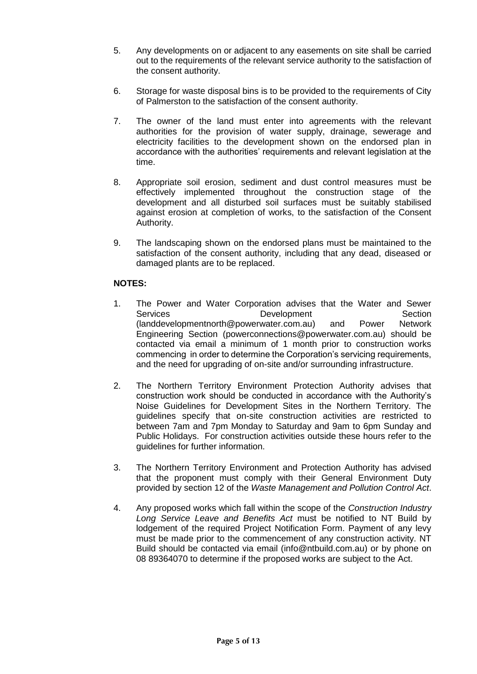- 5. Any developments on or adjacent to any easements on site shall be carried out to the requirements of the relevant service authority to the satisfaction of the consent authority.
- 6. Storage for waste disposal bins is to be provided to the requirements of City of Palmerston to the satisfaction of the consent authority.
- 7. The owner of the land must enter into agreements with the relevant authorities for the provision of water supply, drainage, sewerage and electricity facilities to the development shown on the endorsed plan in accordance with the authorities' requirements and relevant legislation at the time.
- 8. Appropriate soil erosion, sediment and dust control measures must be effectively implemented throughout the construction stage of the development and all disturbed soil surfaces must be suitably stabilised against erosion at completion of works, to the satisfaction of the Consent Authority.
- 9. The landscaping shown on the endorsed plans must be maintained to the satisfaction of the consent authority, including that any dead, diseased or damaged plants are to be replaced.

# **NOTES:**

- 1. The Power and Water Corporation advises that the Water and Sewer Services **Development** Development Section [\(landdevelopmentnorth@powerwater.com.au\)](mailto:landdevelopmentnorth@powerwater.com.au) and Power Network Engineering Section [\(powerconnections@powerwater.com.au\)](mailto:powerconnections@powerwater.com.au) should be contacted via email a minimum of 1 month prior to construction works commencing in order to determine the Corporation's servicing requirements, and the need for upgrading of on-site and/or surrounding infrastructure.
- 2. The Northern Territory Environment Protection Authority advises that construction work should be conducted in accordance with the Authority's Noise Guidelines for Development Sites in the Northern Territory. The guidelines specify that on-site construction activities are restricted to between 7am and 7pm Monday to Saturday and 9am to 6pm Sunday and Public Holidays. For construction activities outside these hours refer to the guidelines for further information.
- 3. The Northern Territory Environment and Protection Authority has advised that the proponent must comply with their General Environment Duty provided by section 12 of the *Waste Management and Pollution Control Act*.
- 4. Any proposed works which fall within the scope of the *Construction Industry Long Service Leave and Benefits Act* must be notified to NT Build by lodgement of the required Project Notification Form. Payment of any levy must be made prior to the commencement of any construction activity. NT Build should be contacted via email [\(info@ntbuild.com.au\)](mailto:info@ntbuild.com.au) or by phone on 08 89364070 to determine if the proposed works are subject to the Act.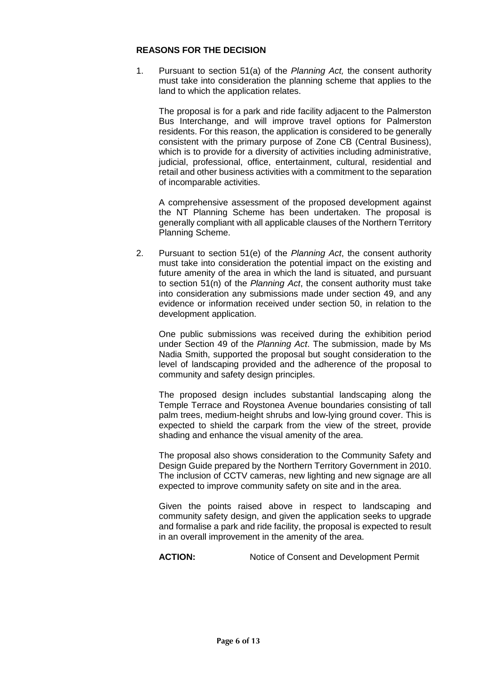#### **REASONS FOR THE DECISION**

1. Pursuant to section 51(a) of the *Planning Act,* the consent authority must take into consideration the planning scheme that applies to the land to which the application relates.

The proposal is for a park and ride facility adjacent to the Palmerston Bus Interchange, and will improve travel options for Palmerston residents. For this reason, the application is considered to be generally consistent with the primary purpose of Zone CB (Central Business), which is to provide for a diversity of activities including administrative, judicial, professional, office, entertainment, cultural, residential and retail and other business activities with a commitment to the separation of incomparable activities.

A comprehensive assessment of the proposed development against the NT Planning Scheme has been undertaken. The proposal is generally compliant with all applicable clauses of the Northern Territory Planning Scheme.

2. Pursuant to section 51(e) of the *Planning Act*, the consent authority must take into consideration the potential impact on the existing and future amenity of the area in which the land is situated, and pursuant to section 51(n) of the *Planning Act*, the consent authority must take into consideration any submissions made under section 49, and any evidence or information received under section 50, in relation to the development application.

One public submissions was received during the exhibition period under Section 49 of the *Planning Act*. The submission, made by Ms Nadia Smith, supported the proposal but sought consideration to the level of landscaping provided and the adherence of the proposal to community and safety design principles.

The proposed design includes substantial landscaping along the Temple Terrace and Roystonea Avenue boundaries consisting of tall palm trees, medium-height shrubs and low-lying ground cover. This is expected to shield the carpark from the view of the street, provide shading and enhance the visual amenity of the area.

The proposal also shows consideration to the Community Safety and Design Guide prepared by the Northern Territory Government in 2010. The inclusion of CCTV cameras, new lighting and new signage are all expected to improve community safety on site and in the area.

Given the points raised above in respect to landscaping and community safety design, and given the application seeks to upgrade and formalise a park and ride facility, the proposal is expected to result in an overall improvement in the amenity of the area.

**ACTION:** Notice of Consent and Development Permit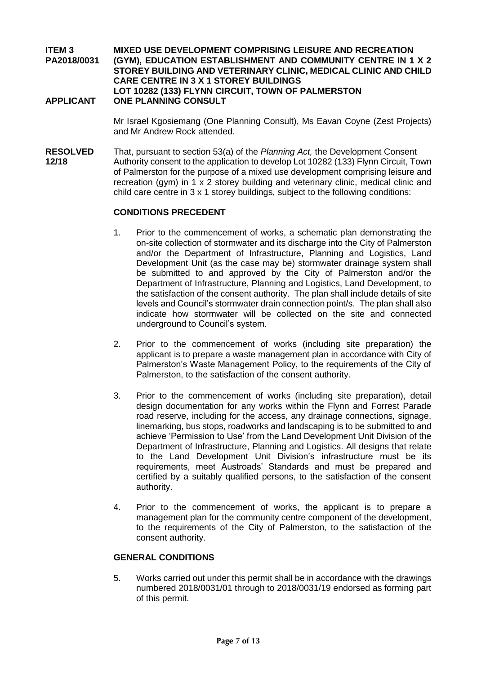#### **ITEM 3 MIXED USE DEVELOPMENT COMPRISING LEISURE AND RECREATION PA2018/0031 (GYM), EDUCATION ESTABLISHMENT AND COMMUNITY CENTRE IN 1 X 2 STOREY BUILDING AND VETERINARY CLINIC, MEDICAL CLINIC AND CHILD CARE CENTRE IN 3 X 1 STOREY BUILDINGS LOT 10282 (133) FLYNN CIRCUIT, TOWN OF PALMERSTON APPLICANT ONE PLANNING CONSULT**

Mr Israel Kgosiemang (One Planning Consult), Ms Eavan Coyne (Zest Projects) and Mr Andrew Rock attended.

**RESOLVED** That, pursuant to section 53(a) of the *Planning Act,* the Development Consent **12/18** Authority consent to the application to develop Lot 10282 (133) Flynn Circuit, Town of Palmerston for the purpose of a mixed use development comprising leisure and recreation (gym) in 1 x 2 storey building and veterinary clinic, medical clinic and child care centre in 3 x 1 storey buildings, subject to the following conditions:

#### **CONDITIONS PRECEDENT**

- 1. Prior to the commencement of works, a schematic plan demonstrating the on-site collection of stormwater and its discharge into the City of Palmerston and/or the Department of Infrastructure, Planning and Logistics, Land Development Unit (as the case may be) stormwater drainage system shall be submitted to and approved by the City of Palmerston and/or the Department of Infrastructure, Planning and Logistics, Land Development, to the satisfaction of the consent authority. The plan shall include details of site levels and Council's stormwater drain connection point/s. The plan shall also indicate how stormwater will be collected on the site and connected underground to Council's system.
- 2. Prior to the commencement of works (including site preparation) the applicant is to prepare a waste management plan in accordance with City of Palmerston's Waste Management Policy, to the requirements of the City of Palmerston, to the satisfaction of the consent authority.
- 3. Prior to the commencement of works (including site preparation), detail design documentation for any works within the Flynn and Forrest Parade road reserve, including for the access, any drainage connections, signage, linemarking, bus stops, roadworks and landscaping is to be submitted to and achieve 'Permission to Use' from the Land Development Unit Division of the Department of Infrastructure, Planning and Logistics. All designs that relate to the Land Development Unit Division's infrastructure must be its requirements, meet Austroads' Standards and must be prepared and certified by a suitably qualified persons, to the satisfaction of the consent authority.
- 4. Prior to the commencement of works, the applicant is to prepare a management plan for the community centre component of the development, to the requirements of the City of Palmerston, to the satisfaction of the consent authority.

#### **GENERAL CONDITIONS**

5. Works carried out under this permit shall be in accordance with the drawings numbered 2018/0031/01 through to 2018/0031/19 endorsed as forming part of this permit.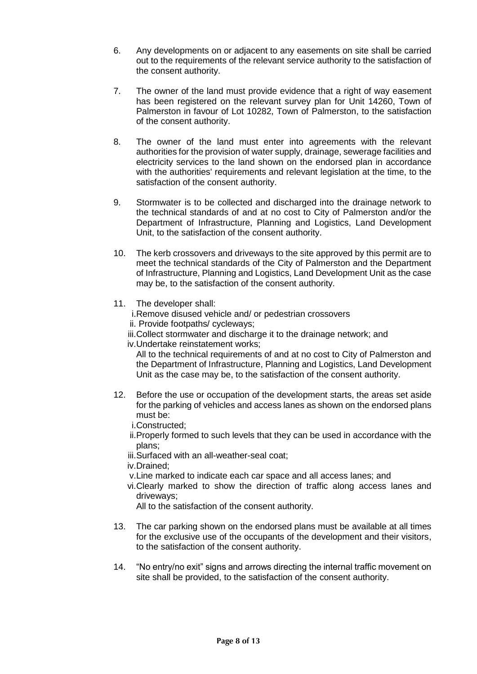- 6. Any developments on or adjacent to any easements on site shall be carried out to the requirements of the relevant service authority to the satisfaction of the consent authority.
- 7. The owner of the land must provide evidence that a right of way easement has been registered on the relevant survey plan for Unit 14260, Town of Palmerston in favour of Lot 10282, Town of Palmerston, to the satisfaction of the consent authority.
- 8. The owner of the land must enter into agreements with the relevant authorities for the provision of water supply, drainage, sewerage facilities and electricity services to the land shown on the endorsed plan in accordance with the authorities' requirements and relevant legislation at the time, to the satisfaction of the consent authority.
- 9. Stormwater is to be collected and discharged into the drainage network to the technical standards of and at no cost to City of Palmerston and/or the Department of Infrastructure, Planning and Logistics, Land Development Unit, to the satisfaction of the consent authority.
- 10. The kerb crossovers and driveways to the site approved by this permit are to meet the technical standards of the City of Palmerston and the Department of Infrastructure, Planning and Logistics, Land Development Unit as the case may be, to the satisfaction of the consent authority.
- 11. The developer shall:
	- i.Remove disused vehicle and/ or pedestrian crossovers
	- ii. Provide footpaths/ cycleways;
	- iii.Collect stormwater and discharge it to the drainage network; and
	- iv.Undertake reinstatement works;

All to the technical requirements of and at no cost to City of Palmerston and the Department of Infrastructure, Planning and Logistics, Land Development Unit as the case may be, to the satisfaction of the consent authority.

- 12. Before the use or occupation of the development starts, the areas set aside for the parking of vehicles and access lanes as shown on the endorsed plans must be:
	- i.Constructed;
	- ii.Properly formed to such levels that they can be used in accordance with the plans;
	- iii.Surfaced with an all-weather-seal coat;
	- iv.Drained;
	- v.Line marked to indicate each car space and all access lanes; and
	- vi.Clearly marked to show the direction of traffic along access lanes and driveways;

All to the satisfaction of the consent authority.

- 13. The car parking shown on the endorsed plans must be available at all times for the exclusive use of the occupants of the development and their visitors, to the satisfaction of the consent authority.
- 14. "No entry/no exit" signs and arrows directing the internal traffic movement on site shall be provided, to the satisfaction of the consent authority.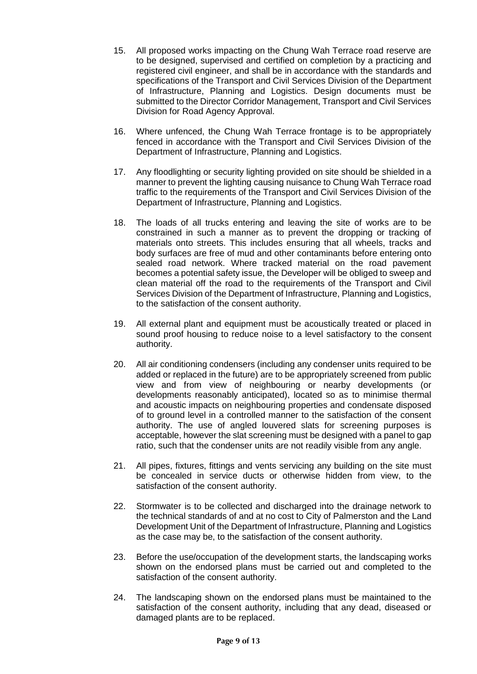- 15. All proposed works impacting on the Chung Wah Terrace road reserve are to be designed, supervised and certified on completion by a practicing and registered civil engineer, and shall be in accordance with the standards and specifications of the Transport and Civil Services Division of the Department of Infrastructure, Planning and Logistics. Design documents must be submitted to the Director Corridor Management, Transport and Civil Services Division for Road Agency Approval.
- 16. Where unfenced, the Chung Wah Terrace frontage is to be appropriately fenced in accordance with the Transport and Civil Services Division of the Department of Infrastructure, Planning and Logistics.
- 17. Any floodlighting or security lighting provided on site should be shielded in a manner to prevent the lighting causing nuisance to Chung Wah Terrace road traffic to the requirements of the Transport and Civil Services Division of the Department of Infrastructure, Planning and Logistics.
- 18. The loads of all trucks entering and leaving the site of works are to be constrained in such a manner as to prevent the dropping or tracking of materials onto streets. This includes ensuring that all wheels, tracks and body surfaces are free of mud and other contaminants before entering onto sealed road network. Where tracked material on the road pavement becomes a potential safety issue, the Developer will be obliged to sweep and clean material off the road to the requirements of the Transport and Civil Services Division of the Department of Infrastructure, Planning and Logistics, to the satisfaction of the consent authority.
- 19. All external plant and equipment must be acoustically treated or placed in sound proof housing to reduce noise to a level satisfactory to the consent authority.
- 20. All air conditioning condensers (including any condenser units required to be added or replaced in the future) are to be appropriately screened from public view and from view of neighbouring or nearby developments (or developments reasonably anticipated), located so as to minimise thermal and acoustic impacts on neighbouring properties and condensate disposed of to ground level in a controlled manner to the satisfaction of the consent authority. The use of angled louvered slats for screening purposes is acceptable, however the slat screening must be designed with a panel to gap ratio, such that the condenser units are not readily visible from any angle.
- 21. All pipes, fixtures, fittings and vents servicing any building on the site must be concealed in service ducts or otherwise hidden from view, to the satisfaction of the consent authority.
- 22. Stormwater is to be collected and discharged into the drainage network to the technical standards of and at no cost to City of Palmerston and the Land Development Unit of the Department of Infrastructure, Planning and Logistics as the case may be, to the satisfaction of the consent authority.
- 23. Before the use/occupation of the development starts, the landscaping works shown on the endorsed plans must be carried out and completed to the satisfaction of the consent authority.
- 24. The landscaping shown on the endorsed plans must be maintained to the satisfaction of the consent authority, including that any dead, diseased or damaged plants are to be replaced.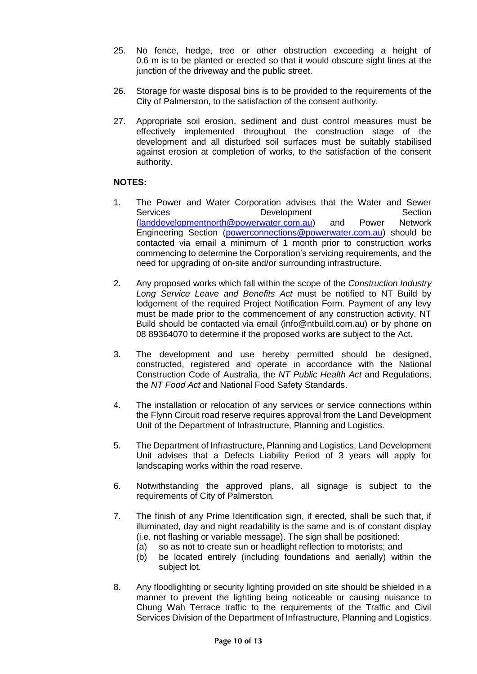- 25. No fence, hedge, tree or other obstruction exceeding a height of 0.6 m is to be planted or erected so that it would obscure sight lines at the junction of the driveway and the public street.
- 26. Storage for waste disposal bins is to be provided to the requirements of the City of Palmerston, to the satisfaction of the consent authority.
- 27. Appropriate soil erosion, sediment and dust control measures must be effectively implemented throughout the construction stage of the development and all disturbed soil surfaces must be suitably stabilised against erosion at completion of works, to the satisfaction of the consent authority.

### **NOTES:**

- 1. The Power and Water Corporation advises that the Water and Sewer Services **Development** Development Section [\(landdevelopmentnorth@powerwater.com.au\)](mailto:landdevelopmentnorth@powerwater.com.au) and Power Network Engineering Section [\(powerconnections@powerwater.com.au\)](mailto:powerconnections@powerwater.com.au) should be contacted via email a minimum of 1 month prior to construction works commencing to determine the Corporation's servicing requirements, and the need for upgrading of on-site and/or surrounding infrastructure.
- 2. Any proposed works which fall within the scope of the *Construction Industry Long Service Leave and Benefits Act* must be notified to NT Build by lodgement of the required Project Notification Form. Payment of any levy must be made prior to the commencement of any construction activity. NT Build should be contacted via email (info@ntbuild.com.au) or by phone on 08 89364070 to determine if the proposed works are subject to the Act.
- 3. The development and use hereby permitted should be designed, constructed, registered and operate in accordance with the National Construction Code of Australia, the *NT Public Health Act* and Regulations, the *NT Food Act* and National Food Safety Standards.
- 4. The installation or relocation of any services or service connections within the Flynn Circuit road reserve requires approval from the Land Development Unit of the Department of Infrastructure, Planning and Logistics.
- 5. The Department of Infrastructure, Planning and Logistics, Land Development Unit advises that a Defects Liability Period of 3 years will apply for landscaping works within the road reserve.
- 6. Notwithstanding the approved plans, all signage is subject to the requirements of City of Palmerston.
- 7. The finish of any Prime Identification sign, if erected, shall be such that, if illuminated, day and night readability is the same and is of constant display (i.e. not flashing or variable message). The sign shall be positioned:
	- (a) so as not to create sun or headlight reflection to motorists; and
	- (b) be located entirely (including foundations and aerially) within the subject lot.
- 8. Any floodlighting or security lighting provided on site should be shielded in a manner to prevent the lighting being noticeable or causing nuisance to Chung Wah Terrace traffic to the requirements of the Traffic and Civil Services Division of the Department of Infrastructure, Planning and Logistics.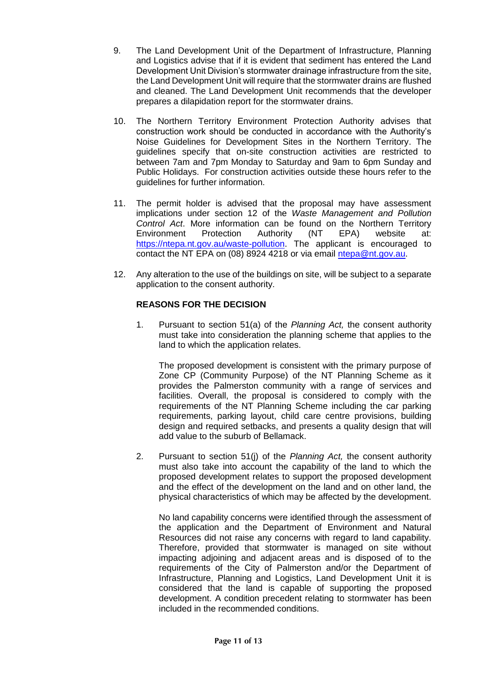- 9. The Land Development Unit of the Department of Infrastructure, Planning and Logistics advise that if it is evident that sediment has entered the Land Development Unit Division's stormwater drainage infrastructure from the site, the Land Development Unit will require that the stormwater drains are flushed and cleaned. The Land Development Unit recommends that the developer prepares a dilapidation report for the stormwater drains.
- 10. The Northern Territory Environment Protection Authority advises that construction work should be conducted in accordance with the Authority's Noise Guidelines for Development Sites in the Northern Territory. The guidelines specify that on-site construction activities are restricted to between 7am and 7pm Monday to Saturday and 9am to 6pm Sunday and Public Holidays. For construction activities outside these hours refer to the guidelines for further information.
- 11. The permit holder is advised that the proposal may have assessment implications under section 12 of the *Waste Management and Pollution Control Act*. More information can be found on the Northern Territory Environment Protection Authority (NT EPA) website at: [https://ntepa.nt.gov.au/waste-pollution.](https://ntepa.nt.gov.au/waste-pollution) The applicant is encouraged to contact the NT EPA on (08) 8924 4218 or via email [ntepa@nt.gov.au.](mailto:ntepa@nt.gov.au)
- 12. Any alteration to the use of the buildings on site, will be subject to a separate application to the consent authority.

# **REASONS FOR THE DECISION**

1. Pursuant to section 51(a) of the *Planning Act,* the consent authority must take into consideration the planning scheme that applies to the land to which the application relates.

The proposed development is consistent with the primary purpose of Zone CP (Community Purpose) of the NT Planning Scheme as it provides the Palmerston community with a range of services and facilities. Overall, the proposal is considered to comply with the requirements of the NT Planning Scheme including the car parking requirements, parking layout, child care centre provisions, building design and required setbacks, and presents a quality design that will add value to the suburb of Bellamack.

2. Pursuant to section 51(j) of the *Planning Act,* the consent authority must also take into account the capability of the land to which the proposed development relates to support the proposed development and the effect of the development on the land and on other land, the physical characteristics of which may be affected by the development.

No land capability concerns were identified through the assessment of the application and the Department of Environment and Natural Resources did not raise any concerns with regard to land capability. Therefore, provided that stormwater is managed on site without impacting adjoining and adjacent areas and is disposed of to the requirements of the City of Palmerston and/or the Department of Infrastructure, Planning and Logistics, Land Development Unit it is considered that the land is capable of supporting the proposed development. A condition precedent relating to stormwater has been included in the recommended conditions.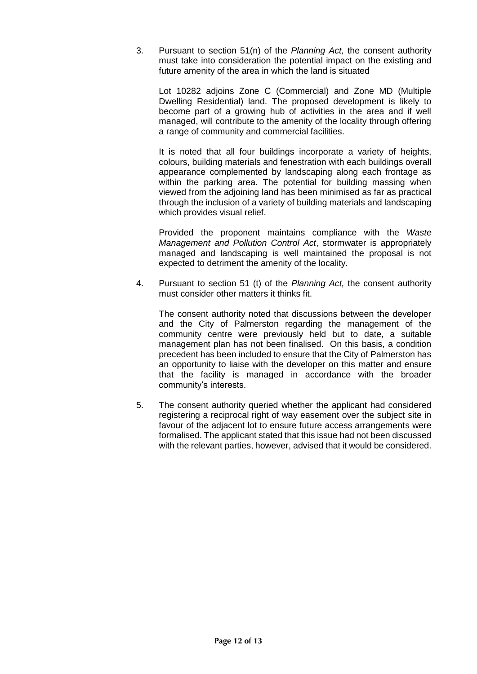3. Pursuant to section 51(n) of the *Planning Act,* the consent authority must take into consideration the potential impact on the existing and future amenity of the area in which the land is situated

Lot 10282 adjoins Zone C (Commercial) and Zone MD (Multiple Dwelling Residential) land. The proposed development is likely to become part of a growing hub of activities in the area and if well managed, will contribute to the amenity of the locality through offering a range of community and commercial facilities.

It is noted that all four buildings incorporate a variety of heights, colours, building materials and fenestration with each buildings overall appearance complemented by landscaping along each frontage as within the parking area. The potential for building massing when viewed from the adjoining land has been minimised as far as practical through the inclusion of a variety of building materials and landscaping which provides visual relief.

Provided the proponent maintains compliance with the *Waste Management and Pollution Control Act*, stormwater is appropriately managed and landscaping is well maintained the proposal is not expected to detriment the amenity of the locality.

4. Pursuant to section 51 (t) of the *Planning Act,* the consent authority must consider other matters it thinks fit.

The consent authority noted that discussions between the developer and the City of Palmerston regarding the management of the community centre were previously held but to date, a suitable management plan has not been finalised. On this basis, a condition precedent has been included to ensure that the City of Palmerston has an opportunity to liaise with the developer on this matter and ensure that the facility is managed in accordance with the broader community's interests.

5. The consent authority queried whether the applicant had considered registering a reciprocal right of way easement over the subject site in favour of the adjacent lot to ensure future access arrangements were formalised. The applicant stated that this issue had not been discussed with the relevant parties, however, advised that it would be considered.